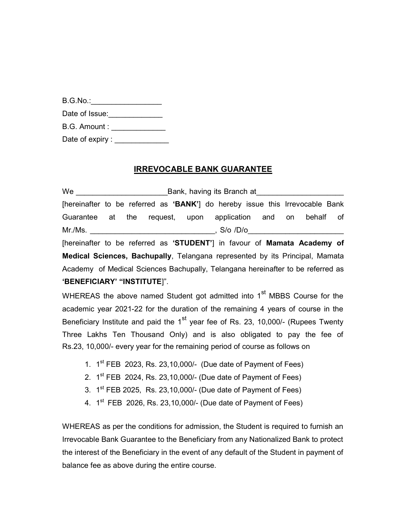| B.G.No.        |  |
|----------------|--|
| Date of Issue: |  |

B.G. Amount :

Date of expiry :

## IRREVOCABLE BANK GUARANTEE

We **Example 20** Bank, having its Branch at [hereinafter to be referred as 'BANK'] do hereby issue this Irrevocable Bank Guarantee at the request, upon application and on behalf of Mr./Ms. \_\_\_\_\_\_\_\_\_\_\_\_\_\_\_\_\_\_\_\_\_\_\_\_\_\_\_\_\_\_, S/o /D/o\_\_\_\_\_\_\_\_\_\_\_\_\_\_\_\_\_\_\_\_\_\_\_ [hereinafter to be referred as 'STUDENT'] in favour of Mamata Academy of

Medical Sciences, Bachupally, Telangana represented by its Principal, Mamata Academy of Medical Sciences Bachupally, Telangana hereinafter to be referred as 'BENEFICIARY' "INSTITUTE]".

WHEREAS the above named Student got admitted into  $1<sup>st</sup>$  MBBS Course for the academic year 2021-22 for the duration of the remaining 4 years of course in the Beneficiary Institute and paid the  $1<sup>st</sup>$  year fee of Rs. 23, 10,000/- (Rupees Twenty Three Lakhs Ten Thousand Only) and is also obligated to pay the fee of Rs.23, 10,000/- every year for the remaining period of course as follows on

- 1.  $1<sup>st</sup> FEB$  2023, Rs. 23, 10, 000/- (Due date of Payment of Fees)
- 2.  $1<sup>st</sup> FEB 2024$ , Rs. 23, 10, 000/- (Due date of Payment of Fees)
- 3.  $1<sup>st</sup> FEB 2025$ , Rs. 23, 10, 000/- (Due date of Payment of Fees)
- 4. 1<sup>st</sup> FEB 2026, Rs. 23,10,000/- (Due date of Payment of Fees)

WHEREAS as per the conditions for admission, the Student is required to furnish an Irrevocable Bank Guarantee to the Beneficiary from any Nationalized Bank to protect the interest of the Beneficiary in the event of any default of the Student in payment of balance fee as above during the entire course.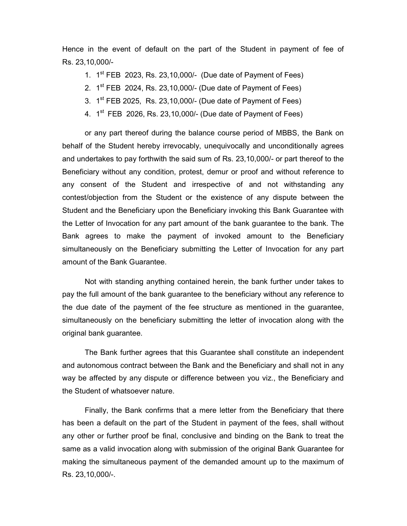Hence in the event of default on the part of the Student in payment of fee of Rs. 23,10,000/-

1.  $1<sup>st</sup> FEB$  2023, Rs. 23, 10, 000/- (Due date of Payment of Fees)

- 2.  $1<sup>st</sup> FEB 2024$ , Rs. 23, 10, 000/- (Due date of Payment of Fees)
- 3.  $1<sup>st</sup> FEB 2025$ , Rs. 23, 10, 000/- (Due date of Payment of Fees)
- 4.  $1<sup>st</sup> FEB 2026$ , Rs. 23, 10, 000/- (Due date of Payment of Fees)

or any part thereof during the balance course period of MBBS, the Bank on behalf of the Student hereby irrevocably, unequivocally and unconditionally agrees and undertakes to pay forthwith the said sum of Rs. 23,10,000/- or part thereof to the Beneficiary without any condition, protest, demur or proof and without reference to any consent of the Student and irrespective of and not withstanding any contest/objection from the Student or the existence of any dispute between the Student and the Beneficiary upon the Beneficiary invoking this Bank Guarantee with the Letter of Invocation for any part amount of the bank guarantee to the bank. The Bank agrees to make the payment of invoked amount to the Beneficiary simultaneously on the Beneficiary submitting the Letter of Invocation for any part amount of the Bank Guarantee.

Not with standing anything contained herein, the bank further under takes to pay the full amount of the bank guarantee to the beneficiary without any reference to the due date of the payment of the fee structure as mentioned in the guarantee, simultaneously on the beneficiary submitting the letter of invocation along with the original bank guarantee.

The Bank further agrees that this Guarantee shall constitute an independent and autonomous contract between the Bank and the Beneficiary and shall not in any way be affected by any dispute or difference between you viz., the Beneficiary and the Student of whatsoever nature.

Finally, the Bank confirms that a mere letter from the Beneficiary that there has been a default on the part of the Student in payment of the fees, shall without any other or further proof be final, conclusive and binding on the Bank to treat the same as a valid invocation along with submission of the original Bank Guarantee for making the simultaneous payment of the demanded amount up to the maximum of Rs. 23,10,000/-.